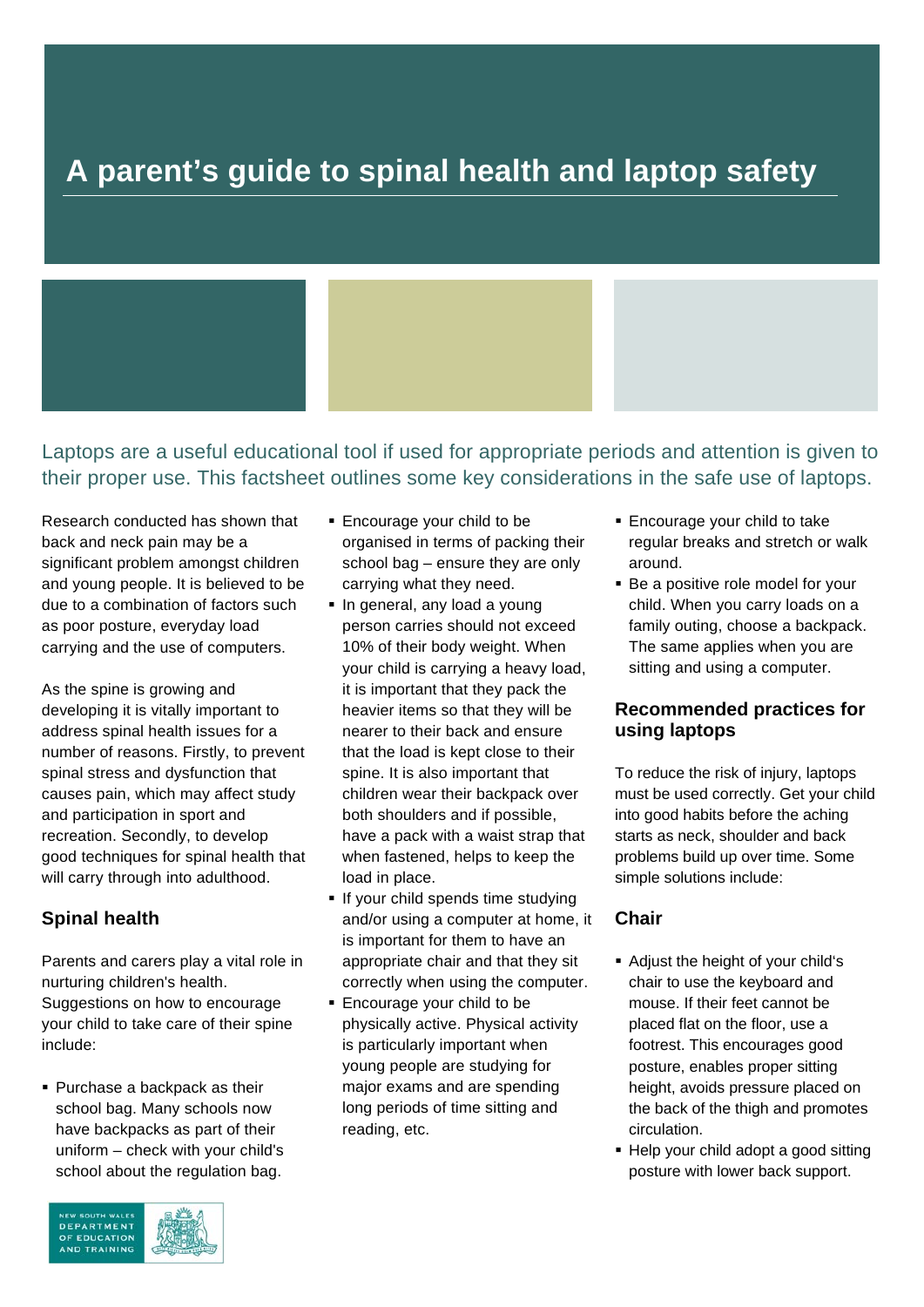# **A parent's guide to spinal health and laptop safety**

# Laptops are a useful educational tool if used for appropriate periods and attention is given to their proper use. This factsheet outlines some key considerations in the safe use of laptops.

Research conducted has shown that back and neck pain may be a significant problem amongst children and young people. It is believed to be due to a combination of factors such as poor posture, everyday load carrying and the use of computers.

As the spine is growing and developing it is vitally important to address spinal health issues for a number of reasons. Firstly, to prevent spinal stress and dysfunction that causes pain, which may affect study and participation in sport and recreation. Secondly, to develop good techniques for spinal health that will carry through into adulthood.

## **Spinal health**

Parents and carers play a vital role in nurturing children's health. Suggestions on how to encourage your child to take care of their spine include:

■ Purchase a backpack as their school bag. Many schools now have backpacks as part of their uniform – check with your child's school about the regulation bag.



- **Encourage your child to be** organised in terms of packing their school bag – ensure they are only carrying what they need.
- **In general, any load a young** person carries should not exceed 10% of their body weight. When your child is carrying a heavy load, it is important that they pack the heavier items so that they will be nearer to their back and ensure that the load is kept close to their spine. It is also important that children wear their backpack over both shoulders and if possible, have a pack with a waist strap that when fastened, helps to keep the load in place.
- **If your child spends time studying** and/or using a computer at home, it is important for them to have an appropriate chair and that they sit correctly when using the computer.
- **Encourage your child to be** physically active. Physical activity is particularly important when young people are studying for major exams and are spending long periods of time sitting and reading, etc.
- Encourage your child to take regular breaks and stretch or walk around.
- **Be a positive role model for your** child. When you carry loads on a family outing, choose a backpack. The same applies when you are sitting and using a computer.

#### **Recommended practices for using laptops**

To reduce the risk of injury, laptops must be used correctly. Get your child into good habits before the aching starts as neck, shoulder and back problems build up over time. Some simple solutions include:

## **Chair**

- Adjust the height of your child's chair to use the keyboard and mouse. If their feet cannot be placed flat on the floor, use a footrest. This encourages good posture, enables proper sitting height, avoids pressure placed on the back of the thigh and promotes circulation.
- Help your child adopt a good sitting posture with lower back support.